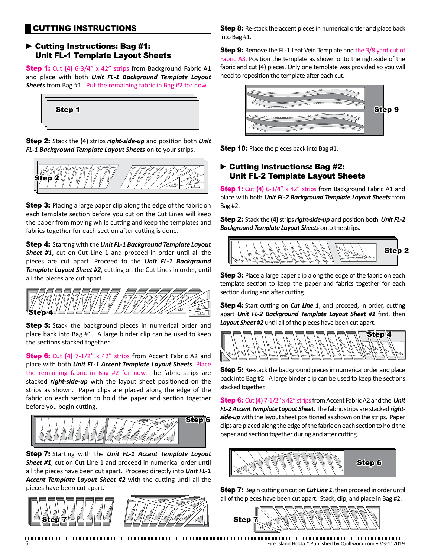# **CUTTING INSTRUCTIONS**

## ► Cutting Instructions: Bag #1: Unit FL-1 Template Layout Sheets

**Step 1:** Cut (4) 6-3/4" x 42" strips from Background Fabric A1 and place with both *Unit FL-1 Background Template Layout Sheets* from Bag #1. Put the remaining fabric in Bag #2 for now.



Step 2: Stack the **(4)** strips *right-side-up* and position both *Unit FL-1 Background Template Layout Sheets* on to your strips.



**Step 3:** Placing a large paper clip along the edge of the fabric on each template section before you cut on the Cut Lines will keep the paper from moving while cutting and keep the templates and fabrics together for each section after cutting is done.

Step 4: Starting with the *Unit FL-1 Background Template Layout Sheet #1*, cut on Cut Line 1 and proceed in order until all the pieces are cut apart. Proceed to the *Unit FL-1 Background Template Layout Sheet #2*, cutting on the Cut Lines in order, until all the pieces are cut apart.

Step<sup>√</sup>4

**Step 5:** Stack the background pieces in numerical order and place back into Bag #1. A large binder clip can be used to keep the sections stacked together.

**Step 6:** Cut (4) 7-1/2" x 42" strips from Accent Fabric A2 and place with both *Unit FL-1 Accent Template Layout Sheets*. Place the remaining fabric in Bag #2 for now. The fabric strips are stacked *right-side-up* with the layout sheet positioned on the strips as shown. Paper clips are placed along the edge of the fabric on each section to hold the paper and section together before you begin cutting.



Step 7: Starting with the *Unit FL-1 Accent Template Layout Sheet #1*, cut on Cut Line 1 and proceed in numerical order until all the pieces have been cut apart. Proceed directly into *Unit FL-1 Accent Template Layout Sheet #2* with the cutting until all the pieces have been cut apart.



**Step 8:** Re-stack the accent pieces in numerical order and place back into Bag #1.

**Step 9:** Remove the FL-1 Leaf Vein Template and the 3/8 yard cut of Fabric A3. Position the template as shown onto the right-side of the fabric and cut **(4)** pieces. Only one template was provided so you will need to reposition the template after each cut.



**Step 10:** Place the pieces back into Bag #1.

# ► Cutting Instructions: Bag #2: Unit FL-2 Template Layout Sheets

**Step 1:** Cut (4) 6-3/4" x 42" strips from Background Fabric A1 and place with both *Unit FL-2 Background Template Layout Sheets* from Bag #2.

Step 2: Stack the **(4)** strips *right-side-up* and position both *Unit FL-2 Background Template Layout Sheets* onto the strips.



**Step 3:** Place a large paper clip along the edge of the fabric on each template section to keep the paper and fabrics together for each section during and after cutting.

**Step 4:** Start cutting on *Cut Line 1*, and proceed, in order, cutting apart *Unit FL-2 Background Template Layout Sheet #1* first, then *Layout Sheet #2* until all of the pieces have been cut apart.



**Step 5:** Re-stack the background pieces in numerical order and place back into Bag #2. A large binder clip can be used to keep the sections stacked together.

Step 6: Cut **(4)** 7-1/2" x 42" strips from Accent Fabric A2 and the *Unit FL-2 Accent Template Layout Sheet.* The fabric strips are stacked *rightside-up* with the layout sheet positioned as shown on the strips. Paper clips are placed along the edge of the fabric on each section to hold the paper and section together during and after cutting.



Step 7: Begin cutting on cut on *Cut Line 1*, then proceed in order until all of the pieces have been cut apart. Stack, clip, and place in Bag #2.



Thumaning and thumaning and thumaning and thumaning and the contraction of the contraction of the contraction of the contraction of the contraction of the contraction of the contraction of the contraction of the contractio 6 Fire Island Hosta ~ Published by Quiltworx.com • V3-112019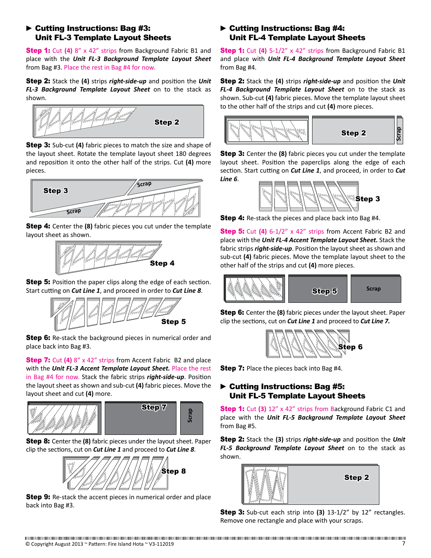#### ► Cutting Instructions: Bag #3: Unit FL-3 Template Layout Sheets

**Step 1:** Cut (4) 8" x 42" strips from Background Fabric B1 and place with the *Unit FL-3 Background Template Layout Sheet* from Bag #3. Place the rest in Bag #4 for now.

Step 2: Stack the **(4)** strips *right-side-up* and position the *Unit FL-3 Background Template Layout Sheet* on to the stack as shown.



Step 3: Sub-cut **(4)** fabric pieces to match the size and shape of the layout sheet. Rotate the template layout sheet 180 degrees and reposition it onto the other half of the strips. Cut **(4)** more pieces.



Step 4: Center the **(8)** fabric pieces you cut under the template layout sheet as shown.



**Step 5:** Position the paper clips along the edge of each section. Start cutting on *Cut Line 1*, and proceed in order to *Cut Line 8*.



**Step 6:** Re-stack the background pieces in numerical order and place back into Bag #3.

**Step 7:** Cut (4) 8" x 42" strips from Accent Fabric B2 and place with the *Unit FL-3 Accent Template Layout Sheet.* Place the rest in Bag #4 for now. Stack the fabric strips *right-side-up*. Position the layout sheet as shown and sub-cut **(4)** fabric pieces. Move the layout sheet and cut **(4)** more.



Step 8: Center the **(8)** fabric pieces under the layout sheet. Paper clip the sections, cut on *Cut Line 1* and proceed to *Cut Line 8*.



**Step 9:** Re-stack the accent pieces in numerical order and place back into Bag #3.

## ► Cutting Instructions: Bag #4: Unit FL-4 Template Layout Sheets

**Step 1:** Cut (4) 5-1/2" x 42" strips from Background Fabric B1 and place with *Unit FL-4 Background Template Layout Sheet*  from Bag #4.

Step 2: Stack the **(4)** strips *right-side-up* and position the *Unit FL-4 Background Template Layout Sheet* on to the stack as shown. Sub-cut **(4)** fabric pieces. Move the template layout sheet to the other half of the strips and cut **(4)** more pieces.



Step 3: Center the **(8)** fabric pieces you cut under the template layout sheet. Position the paperclips along the edge of each section. Start cutting on *Cut Line 1*, and proceed, in order to *Cut Line 6*.



**Step 4:** Re-stack the pieces and place back into Bag #4.

**Step 5:** Cut (4) 6-1/2" x 42" strips from Accent Fabric B2 and place with the *Unit FL-4 Accent Template Layout Sheet.* Stack the fabric strips *right-side-up*. Position the layout sheet as shown and sub-cut **(4)** fabric pieces. Move the template layout sheet to the other half of the strips and cut **(4)** more pieces.



Step 6: Center the **(8)** fabric pieces under the layout sheet. Paper clip the sections, cut on *Cut Line 1* and proceed to *Cut Line 7.*



**Step 7:** Place the pieces back into Bag #4.

## ► Cutting Instructions: Bag #5: Unit FL-5 Template Layout Sheets

**Step 1:** Cut (3) 12" x 42" strips from Background Fabric C1 and place with the *Unit FL-5 Background Template Layout Sheet*  from Bag #5.

Step 2: Stack the **(3)** strips *right-side-up* and position the *Unit FL-5 Background Template Layout Sheet* on to the stack as shown.



Step 3: Sub-cut each strip into **(3)** 13-1/2" by 12" rectangles. Remove one rectangle and place with your scraps.